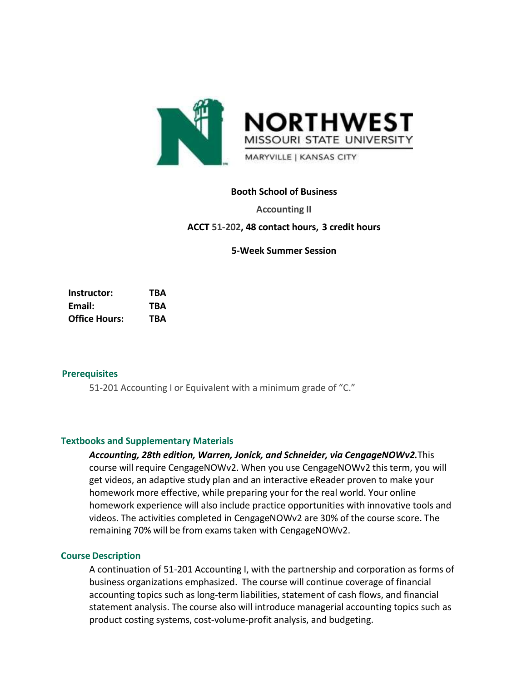

## **Booth School of Business**

**Accounting II**

**ACCT 51-202, 48 contact hours, 3 credit hours**

**5-Week Summer Session**

**Instructor: TBA Email: TBA Office Hours: TBA**

#### **Prerequisites**

51-201 Accounting I or Equivalent with a minimum grade of "C."

### **Textbooks and Supplementary Materials**

*Accounting, 28th edition, Warren, Jonick, and Schneider, via CengageNOWv2.*This course will require CengageNOWv2. When you use CengageNOWv2 thisterm, you will get videos, an adaptive study plan and an interactive eReader proven to make your homework more effective, while preparing your for the real world. Your online homework experience will also include practice opportunities with innovative tools and videos. The activities completed in CengageNOWv2 are 30% of the course score. The remaining 70% will be from exams taken with CengageNOWv2.

#### **Course Description**

A continuation of 51-201 Accounting I, with the partnership and corporation as forms of business organizations emphasized. The course will continue coverage of financial accounting topics such as long-term liabilities, statement of cash flows, and financial statement analysis. The course also will introduce managerial accounting topics such as product costing systems, cost-volume-profit analysis, and budgeting.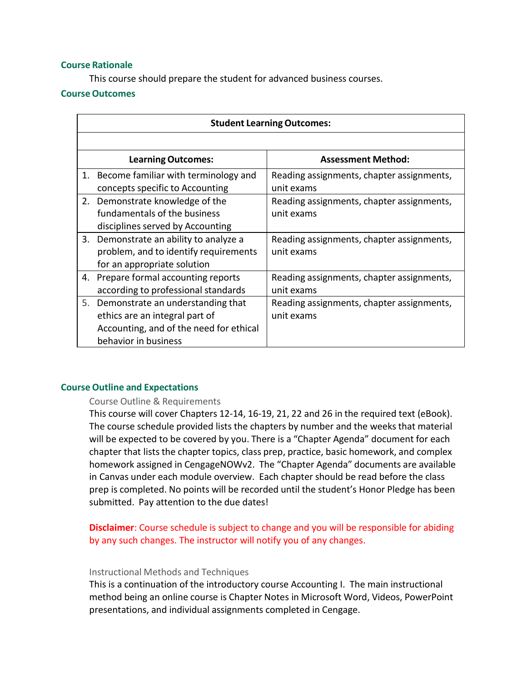### **Course Rationale**

This course should prepare the student for advanced business courses.

#### **CourseOutcomes**

| <b>Student Learning Outcomes:</b> |                                         |                                           |  |  |
|-----------------------------------|-----------------------------------------|-------------------------------------------|--|--|
|                                   |                                         |                                           |  |  |
|                                   | <b>Learning Outcomes:</b>               | <b>Assessment Method:</b>                 |  |  |
|                                   | 1. Become familiar with terminology and | Reading assignments, chapter assignments, |  |  |
|                                   | concepts specific to Accounting         | unit exams                                |  |  |
|                                   | 2. Demonstrate knowledge of the         | Reading assignments, chapter assignments, |  |  |
|                                   | fundamentals of the business            | unit exams                                |  |  |
|                                   | disciplines served by Accounting        |                                           |  |  |
|                                   | 3. Demonstrate an ability to analyze a  | Reading assignments, chapter assignments, |  |  |
|                                   | problem, and to identify requirements   | unit exams                                |  |  |
|                                   | for an appropriate solution             |                                           |  |  |
|                                   | 4. Prepare formal accounting reports    | Reading assignments, chapter assignments, |  |  |
|                                   | according to professional standards     | unit exams                                |  |  |
| 5.                                | Demonstrate an understanding that       | Reading assignments, chapter assignments, |  |  |
|                                   | ethics are an integral part of          | unit exams                                |  |  |
|                                   | Accounting, and of the need for ethical |                                           |  |  |
|                                   | behavior in business                    |                                           |  |  |

#### **Course Outline and Expectations**

#### Course Outline & Requirements

This course will cover Chapters 12-14, 16-19, 21, 22 and 26 in the required text (eBook). The course schedule provided lists the chapters by number and the weeks that material will be expected to be covered by you. There is a "Chapter Agenda" document for each chapter that lists the chapter topics, class prep, practice, basic homework, and complex homework assigned in CengageNOWv2. The "Chapter Agenda" documents are available in Canvas under each module overview. Each chapter should be read before the class prep is completed. No points will be recorded until the student's Honor Pledge has been submitted. Pay attention to the due dates!

**Disclaimer**: Course schedule is subject to change and you will be responsible for abiding by any such changes. The instructor will notify you of any changes.

#### Instructional Methods and Techniques

This is a continuation of the introductory course Accounting I. The main instructional method being an online course is Chapter Notes in Microsoft Word, Videos, PowerPoint presentations, and individual assignments completed in Cengage.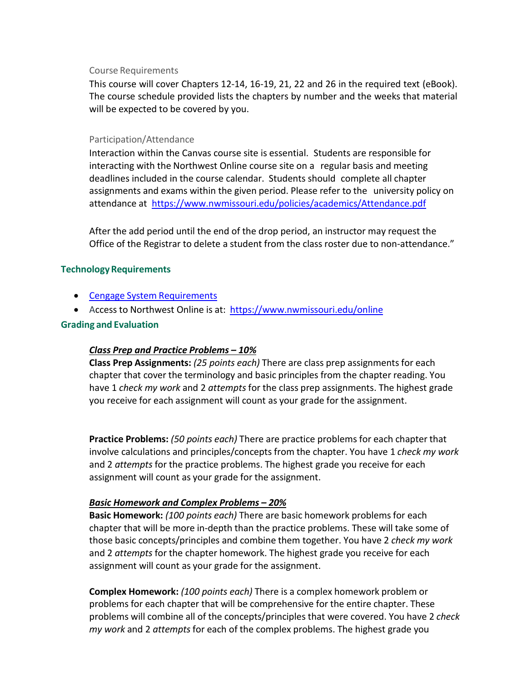### Course Requirements

This course will cover Chapters 12-14, 16-19, 21, 22 and 26 in the required text (eBook). The course schedule provided lists the chapters by number and the weeks that material will be expected to be covered by you.

### Participation/Attendance

Interaction within the Canvas course site is essential. Students are responsible for interacting with the Northwest Online course site on a regular basis and meeting deadlines included in the course calendar. Students should complete all chapter assignments and exams within the given period. Please refer to the university policy on attendance at <https://www.nwmissouri.edu/policies/academics/Attendance.pdf>

After the add period until the end of the drop period, an instructor may request the Office of the Registrar to delete a student from the class roster due to non-attendance."

## **TechnologyRequirements**

- Cengage System [Requirements](https://www.cengage.com/help/cnowv2/instructor/common/system-requirements.html)
- Access to Northwest Online is at: <https://www.nwmissouri.edu/online>

## **Grading and Evaluation**

# *Class Prep and Practice Problems – 10%*

**Class Prep Assignments:** *(25 points each)* There are class prep assignmentsfor each chapter that cover the terminology and basic principles from the chapter reading. You have 1 *check my work* and 2 *attempts* for the class prep assignments. The highest grade you receive for each assignment will count as your grade for the assignment.

**Practice Problems:** *(50 points each)* There are practice problems for each chapter that involve calculations and principles/concepts from the chapter. You have 1 *check my work* and 2 *attempts* for the practice problems. The highest grade you receive for each assignment will count as your grade for the assignment.

# *Basic Homework and Complex Problems – 20%*

**Basic Homework:** *(100 points each)* There are basic homework problemsfor each chapter that will be more in-depth than the practice problems. These will take some of those basic concepts/principles and combine them together. You have 2 *check my work* and 2 *attempts* for the chapter homework. The highest grade you receive for each assignment will count as your grade for the assignment.

**Complex Homework:** *(100 points each)* There is a complex homework problem or problems for each chapter that will be comprehensive for the entire chapter. These problems will combine all of the concepts/principles that were covered. You have 2 *check my work* and 2 *attempts*for each of the complex problems. The highest grade you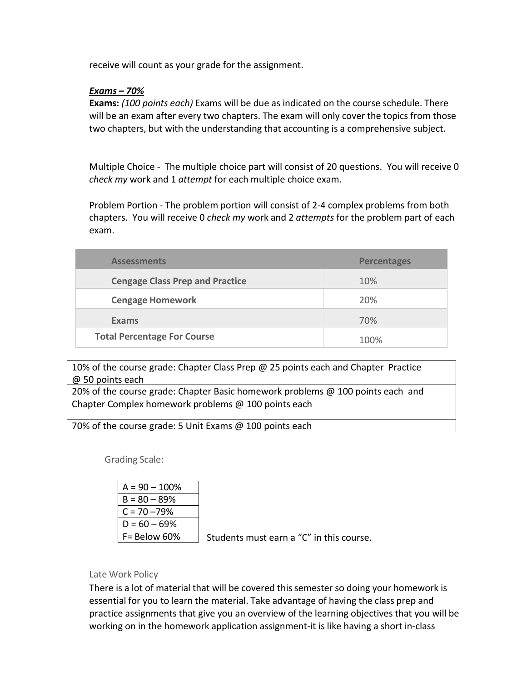receive will count as your grade for the assignment.

## *Exams – 70%*

**Exams:** *(100 points each)* Exams will be due as indicated on the course schedule. There will be an exam after every two chapters. The exam will only cover the topics from those two chapters, but with the understanding that accounting is a comprehensive subject.

Multiple Choice - The multiple choice part will consist of 20 questions. You will receive 0 *check my* work and 1 *attempt* for each multiple choice exam.

Problem Portion - The problem portion will consist of 2-4 complex problems from both chapters. You will receive 0 *check my* work and 2 *attempts* for the problem part of each exam.

| <b>Assessments</b>                     | <b>Percentages</b> |
|----------------------------------------|--------------------|
| <b>Cengage Class Prep and Practice</b> | 10%                |
| <b>Cengage Homework</b>                | 20%                |
| Exams                                  | 70%                |
| <b>Total Percentage For Course</b>     | 100%               |

10% of the course grade: Chapter Class Prep @ 25 points each and Chapter Practice @ 50 points each

20% of the course grade: Chapter Basic homework problems @ 100 points each and Chapter Complex homework problems @ 100 points each

70% of the course grade: 5 Unit Exams @ 100 points each

Grading Scale:

| $A = 90 - 100%$ |                                  |
|-----------------|----------------------------------|
| $B = 80 - 89%$  |                                  |
| $C = 70 - 79\%$ |                                  |
| $D = 60 - 69\%$ |                                  |
| $F =$ Below 60% | Students must earn a "C" in this |

## Late Work Policy

There is a lot of material that will be covered thissemester so doing your homework is essential for you to learn the material. Take advantage of having the class prep and practice assignments that give you an overview of the learning objectives that you will be working on in the homework application assignment-it is like having a short in-class

course.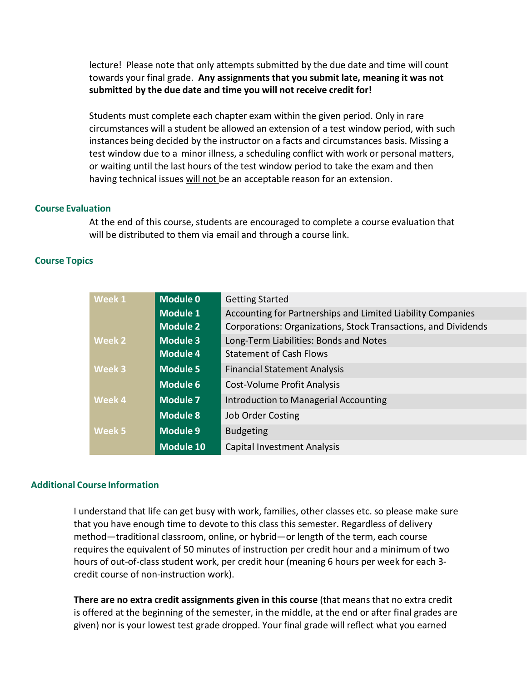lecture! Please note that only attempts submitted by the due date and time will count towards your final grade. **Any assignments that you submit late, meaning it was not submitted by the due date and time you will not receive credit for!**

Students must complete each chapter exam within the given period. Only in rare circumstances will a student be allowed an extension of a test window period, with such instances being decided by the instructor on a facts and circumstances basis. Missing a test window due to a minor illness, a scheduling conflict with work or personal matters, or waiting until the last hours of the test window period to take the exam and then having technical issues will not be an acceptable reason for an extension.

### **Course Evaluation**

At the end of this course, students are encouraged to complete a course evaluation that will be distributed to them via email and through a course link.

## **Course Topics**

| Week 1        | <b>Module 0</b>  | <b>Getting Started</b>                                         |  |
|---------------|------------------|----------------------------------------------------------------|--|
|               | <b>Module 1</b>  | Accounting for Partnerships and Limited Liability Companies    |  |
|               | <b>Module 2</b>  | Corporations: Organizations, Stock Transactions, and Dividends |  |
| <b>Week 2</b> | <b>Module 3</b>  | Long-Term Liabilities: Bonds and Notes                         |  |
|               | <b>Module 4</b>  | <b>Statement of Cash Flows</b>                                 |  |
| <b>Week 3</b> | <b>Module 5</b>  | <b>Financial Statement Analysis</b>                            |  |
|               | <b>Module 6</b>  | Cost-Volume Profit Analysis                                    |  |
| <b>Week 4</b> | Module 7         | Introduction to Managerial Accounting                          |  |
|               | <b>Module 8</b>  | <b>Job Order Costing</b>                                       |  |
| <b>Week 5</b> | <b>Module 9</b>  | <b>Budgeting</b>                                               |  |
|               | <b>Module 10</b> | <b>Capital Investment Analysis</b>                             |  |

#### **Additional Course Information**

I understand that life can get busy with work, families, other classes etc. so please make sure that you have enough time to devote to this class this semester. Regardless of delivery method—traditional classroom, online, or hybrid—or length of the term, each course requires the equivalent of 50 minutes of instruction per credit hour and a minimum of two hours of out-of-class student work, per credit hour (meaning 6 hours per week for each 3 credit course of non-instruction work).

**There are no extra credit assignments given in this course** (that means that no extra credit is offered at the beginning of the semester, in the middle, at the end or after final grades are given) nor is your lowest test grade dropped. Your final grade will reflect what you earned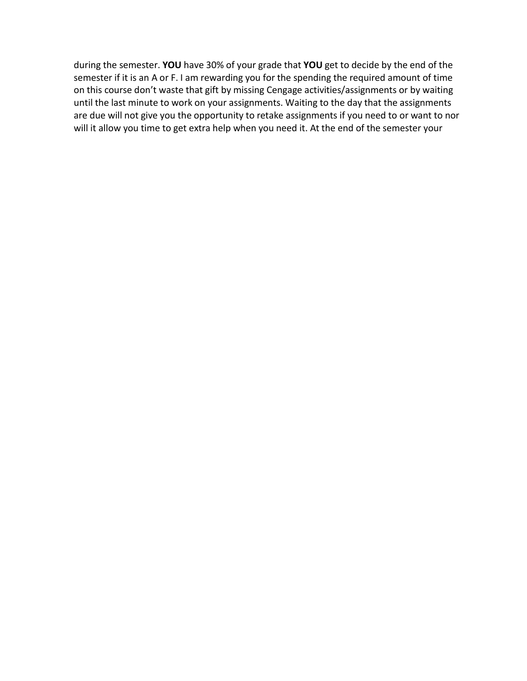during the semester. **YOU** have 30% of your grade that **YOU** get to decide by the end of the semester if it is an A or F. I am rewarding you for the spending the required amount of time on this course don't waste that gift by missing Cengage activities/assignments or by waiting until the last minute to work on your assignments. Waiting to the day that the assignments are due will not give you the opportunity to retake assignments if you need to or want to nor will it allow you time to get extra help when you need it. At the end of the semester your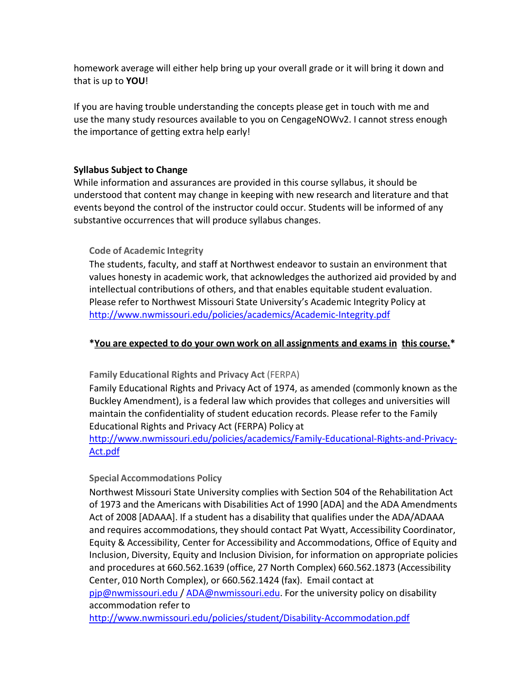homework average will either help bring up your overall grade or it will bring it down and that is up to **YOU**!

If you are having trouble understanding the concepts please get in touch with me and use the many study resources available to you on CengageNOWv2. I cannot stress enough the importance of getting extra help early!

## **Syllabus Subject to Change**

While information and assurances are provided in this course syllabus, it should be understood that content may change in keeping with new research and literature and that events beyond the control of the instructor could occur. Students will be informed of any substantive occurrences that will produce syllabus changes.

# **Code of Academic Integrity**

The students, faculty, and staff at Northwest endeavor to sustain an environment that values honesty in academic work, that acknowledges the authorized aid provided by and intellectual contributions of others, and that enables equitable student evaluation. Please refer to Northwest Missouri State University's Academic Integrity Policy at <http://www.nwmissouri.edu/policies/academics/Academic-Integrity.pdf>

# **\*You are expected to do your own work on all assignments and exams in this course.\***

**Family Educational Rights and Privacy Act** (FERPA)

Family Educational Rights and Privacy Act of 1974, as amended (commonly known as the Buckley Amendment), is a federal law which provides that colleges and universities will maintain the confidentiality of student education records. Please refer to the Family Educational Rights and Privacy Act (FERPA) Policy at

# [http://www.nwmissouri.edu/policies/academics/Family-Educational-Rights-and-Privacy-](http://www.nwmissouri.edu/policies/academics/Family-Educational-Rights-and-Privacy-Act.pdf)[Act.pdf](http://www.nwmissouri.edu/policies/academics/Family-Educational-Rights-and-Privacy-Act.pdf)

# **Special Accommodations Policy**

Northwest Missouri State University complies with Section 504 of the Rehabilitation Act of 1973 and the Americans with Disabilities Act of 1990 [ADA] and the ADA Amendments Act of 2008 [ADAAA]. If a student has a disability that qualifies under the ADA/ADAAA and requires accommodations, they should contact Pat Wyatt, Accessibility Coordinator, Equity & Accessibility, Center for Accessibility and Accommodations, Office of Equity and Inclusion, Diversity, Equity and Inclusion Division, for information on appropriate policies and procedures at 660.562.1639 (office, 27 North Complex) 660.562.1873 (Accessibility Center, 010 North Complex), or 660.562.1424 (fax). Email contact at [pjp@nwmissouri.edu](mailto:pjp@nwmissouri.edu) / [ADA@nwmissouri.edu.](mailto:ADA@nwmissouri.edu) For the university policy on disability accommodation refer to

<http://www.nwmissouri.edu/policies/student/Disability-Accommodation.pdf>